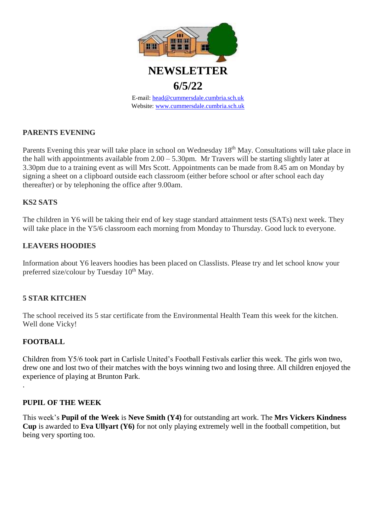

# **PARENTS EVENING**

Parents Evening this year will take place in school on Wednesday 18<sup>th</sup> May. Consultations will take place in the hall with appointments available from 2.00 – 5.30pm. Mr Travers will be starting slightly later at 3.30pm due to a training event as will Mrs Scott. Appointments can be made from 8.45 am on Monday by signing a sheet on a clipboard outside each classroom (either before school or after school each day thereafter) or by telephoning the office after 9.00am.

### **KS2 SATS**

The children in Y6 will be taking their end of key stage standard attainment tests (SATs) next week. They will take place in the Y5/6 classroom each morning from Monday to Thursday. Good luck to everyone.

## **LEAVERS HOODIES**

Information about Y6 leavers hoodies has been placed on Classlists. Please try and let school know your preferred size/colour by Tuesday  $10^{th}$  May.

### **5 STAR KITCHEN**

The school received its 5 star certificate from the Environmental Health Team this week for the kitchen. Well done Vicky!

### **FOOTBALL**

.

Children from Y5/6 took part in Carlisle United's Football Festivals earlier this week. The girls won two, drew one and lost two of their matches with the boys winning two and losing three. All children enjoyed the experience of playing at Brunton Park.

### **PUPIL OF THE WEEK**

This week's **Pupil of the Week** is **Neve Smith (Y4)** for outstanding art work. The **Mrs Vickers Kindness Cup** is awarded to **Eva Ullyart (Y6)** for not only playing extremely well in the football competition, but being very sporting too.